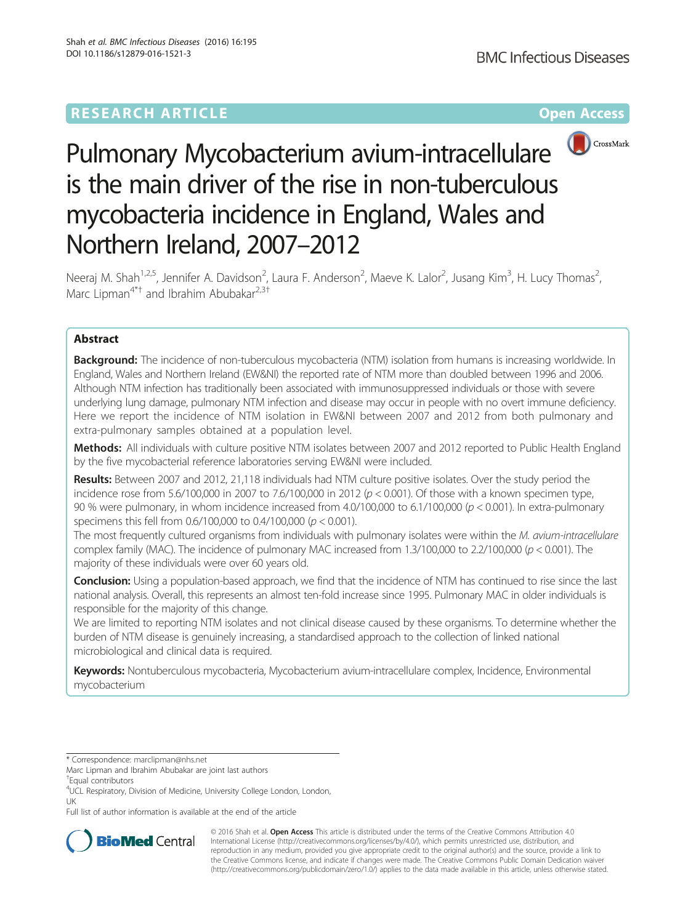# **RESEARCH ARTICLE Example 2014 12:30 The Contract of Contract ACCESS**



# Pulmonary Mycobacterium avium-intracellulare is the main driver of the rise in non-tuberculous mycobacteria incidence in England, Wales and Northern Ireland, 2007–2012

Neeraj M. Shah<sup>1,2,5</sup>, Jennifer A. Davidson<sup>2</sup>, Laura F. Anderson<sup>2</sup>, Maeve K. Lalor<sup>2</sup>, Jusang Kim<sup>3</sup>, H. Lucy Thomas<sup>2</sup> , Marc Lipman<sup>4\*†</sup> and Ibrahim Abubakar<sup>2,3†</sup>

# Abstract

**Background:** The incidence of non-tuberculous mycobacteria (NTM) isolation from humans is increasing worldwide. In England, Wales and Northern Ireland (EW&NI) the reported rate of NTM more than doubled between 1996 and 2006. Although NTM infection has traditionally been associated with immunosuppressed individuals or those with severe underlying lung damage, pulmonary NTM infection and disease may occur in people with no overt immune deficiency. Here we report the incidence of NTM isolation in EW&NI between 2007 and 2012 from both pulmonary and extra-pulmonary samples obtained at a population level.

Methods: All individuals with culture positive NTM isolates between 2007 and 2012 reported to Public Health England by the five mycobacterial reference laboratories serving EW&NI were included.

Results: Between 2007 and 2012, 21,118 individuals had NTM culture positive isolates. Over the study period the incidence rose from 5.6/100,000 in 2007 to 7.6/100,000 in 2012 ( $p < 0.001$ ). Of those with a known specimen type, 90 % were pulmonary, in whom incidence increased from 4.0/100,000 to 6.1/100,000 (p < 0.001). In extra-pulmonary specimens this fell from 0.6/100,000 to 0.4/100,000 (p < 0.001).

The most frequently cultured organisms from individuals with pulmonary isolates were within the M. avium-intracellulare complex family (MAC). The incidence of pulmonary MAC increased from  $1.3/100,000$  to  $2.2/100,000$  ( $p < 0.001$ ). The majority of these individuals were over 60 years old.

Conclusion: Using a population-based approach, we find that the incidence of NTM has continued to rise since the last national analysis. Overall, this represents an almost ten-fold increase since 1995. Pulmonary MAC in older individuals is responsible for the majority of this change.

We are limited to reporting NTM isolates and not clinical disease caused by these organisms. To determine whether the burden of NTM disease is genuinely increasing, a standardised approach to the collection of linked national microbiological and clinical data is required.

Keywords: Nontuberculous mycobacteria, Mycobacterium avium-intracellulare complex, Incidence, Environmental mycobacterium

Full list of author information is available at the end of the article



© 2016 Shah et al. Open Access This article is distributed under the terms of the Creative Commons Attribution 4.0 International License [\(http://creativecommons.org/licenses/by/4.0/](http://creativecommons.org/licenses/by/4.0/)), which permits unrestricted use, distribution, and reproduction in any medium, provided you give appropriate credit to the original author(s) and the source, provide a link to the Creative Commons license, and indicate if changes were made. The Creative Commons Public Domain Dedication waiver [\(http://creativecommons.org/publicdomain/zero/1.0/](http://creativecommons.org/publicdomain/zero/1.0/)) applies to the data made available in this article, unless otherwise stated.

<sup>\*</sup> Correspondence: [marclipman@nhs.net](mailto:marclipman@nhs.net)

Marc Lipman and Ibrahim Abubakar are joint last authors

<sup>†</sup> Equal contributors

<sup>4</sup> UCL Respiratory, Division of Medicine, University College London, London, UK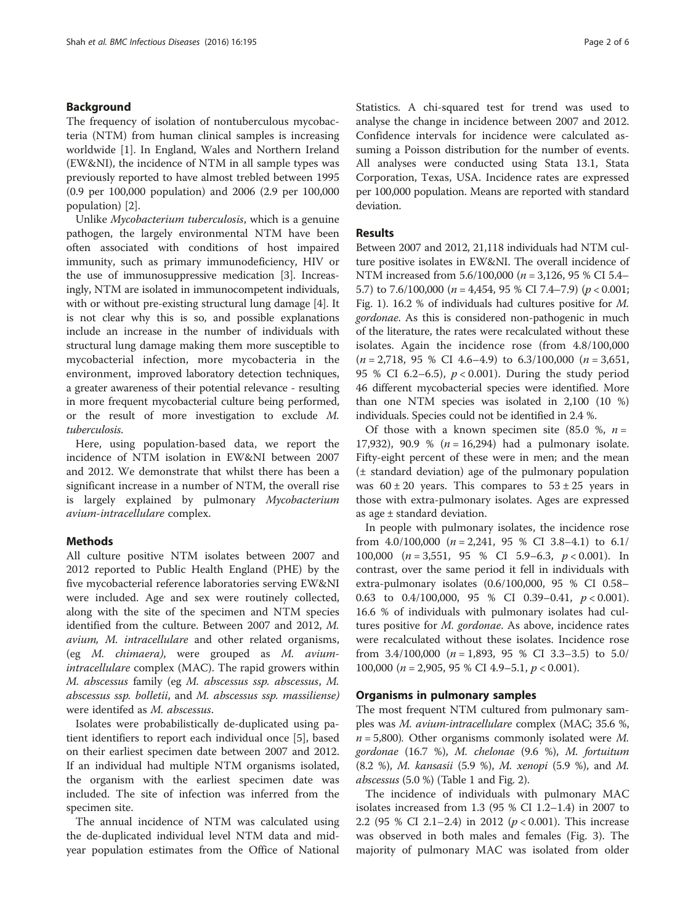# Background

The frequency of isolation of nontuberculous mycobacteria (NTM) from human clinical samples is increasing worldwide [\[1](#page-5-0)]. In England, Wales and Northern Ireland (EW&NI), the incidence of NTM in all sample types was previously reported to have almost trebled between 1995 (0.9 per 100,000 population) and 2006 (2.9 per 100,000 population) [\[2\]](#page-5-0).

Unlike Mycobacterium tuberculosis, which is a genuine pathogen, the largely environmental NTM have been often associated with conditions of host impaired immunity, such as primary immunodeficiency, HIV or the use of immunosuppressive medication [\[3\]](#page-5-0). Increasingly, NTM are isolated in immunocompetent individuals, with or without pre-existing structural lung damage [\[4](#page-5-0)]. It is not clear why this is so, and possible explanations include an increase in the number of individuals with structural lung damage making them more susceptible to mycobacterial infection, more mycobacteria in the environment, improved laboratory detection techniques, a greater awareness of their potential relevance - resulting in more frequent mycobacterial culture being performed, or the result of more investigation to exclude M. tuberculosis.

Here, using population-based data, we report the incidence of NTM isolation in EW&NI between 2007 and 2012. We demonstrate that whilst there has been a significant increase in a number of NTM, the overall rise is largely explained by pulmonary Mycobacterium avium-intracellulare complex.

# Methods

All culture positive NTM isolates between 2007 and 2012 reported to Public Health England (PHE) by the five mycobacterial reference laboratories serving EW&NI were included. Age and sex were routinely collected, along with the site of the specimen and NTM species identified from the culture. Between 2007 and 2012, M. avium, M. intracellulare and other related organisms, (eg M. chimaera), were grouped as M. aviumintracellulare complex (MAC). The rapid growers within M. abscessus family (eg M. abscessus ssp. abscessus, M. abscessus ssp. bolletii, and M. abscessus ssp. massiliense) were identifed as M. abscessus.

Isolates were probabilistically de-duplicated using patient identifiers to report each individual once [[5\]](#page-5-0), based on their earliest specimen date between 2007 and 2012. If an individual had multiple NTM organisms isolated, the organism with the earliest specimen date was included. The site of infection was inferred from the specimen site.

The annual incidence of NTM was calculated using the de-duplicated individual level NTM data and midyear population estimates from the Office of National Statistics. A chi-squared test for trend was used to analyse the change in incidence between 2007 and 2012. Confidence intervals for incidence were calculated assuming a Poisson distribution for the number of events. All analyses were conducted using Stata 13.1, Stata Corporation, Texas, USA. Incidence rates are expressed per 100,000 population. Means are reported with standard deviation.

# Results

Between 2007 and 2012, 21,118 individuals had NTM culture positive isolates in EW&NI. The overall incidence of NTM increased from 5.6/100,000 ( $n = 3,126$ , 95 % CI 5.4– 5.7) to 7.6/100,000 ( $n = 4,454$ , 95 % CI 7.4–7.9) ( $p < 0.001$ ; Fig. [1](#page-2-0)). 16.2 % of individuals had cultures positive for M. gordonae. As this is considered non-pathogenic in much of the literature, the rates were recalculated without these isolates. Again the incidence rose (from 4.8/100,000  $(n = 2.718, 95 % CI 4.6-4.9)$  to  $6.3/100,000 (n = 3.651,$ 95 % CI 6.2–6.5),  $p < 0.001$ ). During the study period 46 different mycobacterial species were identified. More than one NTM species was isolated in 2,100 (10 %) individuals. Species could not be identified in 2.4 %.

Of those with a known specimen site  $(85.0 %, n=$ 17,932), 90.9 %  $(n = 16,294)$  had a pulmonary isolate. Fifty-eight percent of these were in men; and the mean (± standard deviation) age of the pulmonary population was  $60 \pm 20$  years. This compares to  $53 \pm 25$  years in those with extra-pulmonary isolates. Ages are expressed as age ± standard deviation.

In people with pulmonary isolates, the incidence rose from  $4.0/100,000$  ( $n = 2,241, 95$  % CI 3.8-4.1) to 6.1/ 100,000 ( $n = 3,551$ , 95 % CI 5.9–6.3,  $p < 0.001$ ). In contrast, over the same period it fell in individuals with extra-pulmonary isolates (0.6/100,000, 95 % CI 0.58– 0.63 to 0.4/100,000, 95 % CI 0.39-0.41,  $p < 0.001$ ). 16.6 % of individuals with pulmonary isolates had cultures positive for M. gordonae. As above, incidence rates were recalculated without these isolates. Incidence rose from  $3.4/100,000$  ( $n = 1,893,95$  % CI  $3.3-3.5$ ) to  $5.0/$ 100,000 ( $n = 2,905, 95 %$  CI 4.9-5.1,  $p < 0.001$ ).

# Organisms in pulmonary samples

The most frequent NTM cultured from pulmonary samples was M. avium-intracellulare complex (MAC; 35.6 %,  $n = 5,800$ ). Other organisms commonly isolated were M. gordonae (16.7 %), M. chelonae (9.6 %), M. fortuitum (8.2 %), M. kansasii (5.9 %), M. xenopi (5.9 %), and M. *abscessus*  $(5.0 %)$  (Table [1](#page-2-0) and Fig. [2](#page-3-0)).

The incidence of individuals with pulmonary MAC isolates increased from 1.3 (95 % CI 1.2–1.4) in 2007 to 2.2 (95 % CI 2.1–2.4) in 2012 ( $p < 0.001$ ). This increase was observed in both males and females (Fig. [3](#page-3-0)). The majority of pulmonary MAC was isolated from older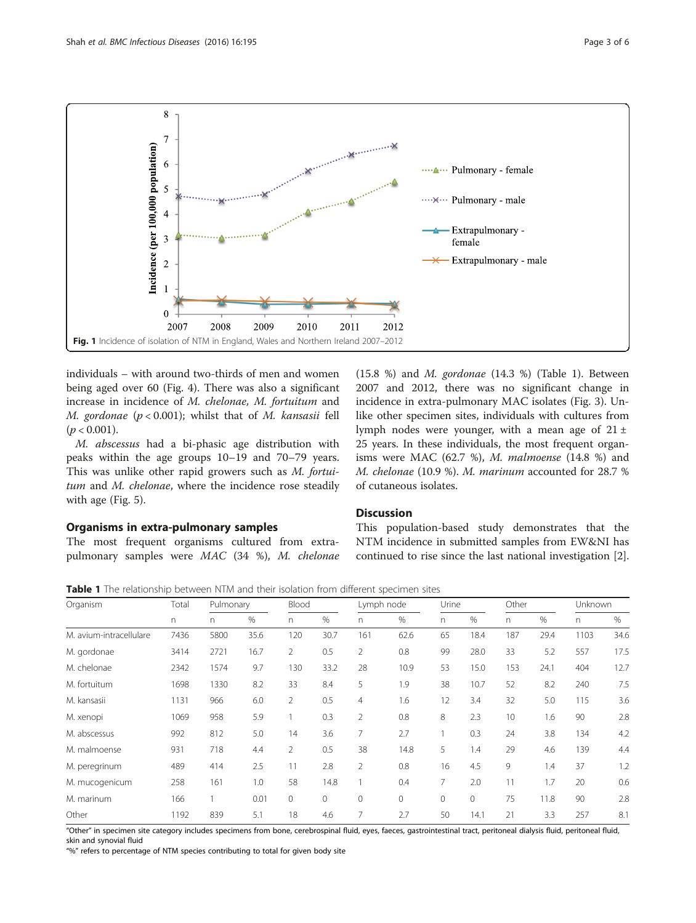<span id="page-2-0"></span>

individuals – with around two-thirds of men and women being aged over 60 (Fig. [4\)](#page-4-0). There was also a significant increase in incidence of M. chelonae, M. fortuitum and M. gordonae ( $p < 0.001$ ); whilst that of M. kansasii fell  $(p < 0.001)$ .

M. abscessus had a bi-phasic age distribution with peaks within the age groups 10–19 and 70–79 years. This was unlike other rapid growers such as M. fortuitum and M. chelonae, where the incidence rose steadily with age (Fig. [5\)](#page-4-0).

# Organisms in extra-pulmonary samples

The most frequent organisms cultured from extrapulmonary samples were MAC (34 %), M. chelonae (15.8 %) and  $M$ . gordonae (14.3 %) (Table 1). Between 2007 and 2012, there was no significant change in incidence in extra-pulmonary MAC isolates (Fig. [3\)](#page-3-0). Unlike other specimen sites, individuals with cultures from lymph nodes were younger, with a mean age of  $21 \pm$ 25 years. In these individuals, the most frequent organisms were MAC (62.7 %), M. malmoense (14.8 %) and M. chelonae (10.9 %). M. marinum accounted for 28.7 % of cutaneous isolates.

#### **Discussion**

This population-based study demonstrates that the NTM incidence in submitted samples from EW&NI has continued to rise since the last national investigation [\[2](#page-5-0)].

Table 1 The relationship between NTM and their isolation from different specimen sites

| Organism                | Total<br>n. | Pulmonary |      | Blood          |             | Lymph node     |             | Urine   |              | Other |      | Unknown |      |
|-------------------------|-------------|-----------|------|----------------|-------------|----------------|-------------|---------|--------------|-------|------|---------|------|
|                         |             | n.        | %    | n              | $\%$        | n.             | $\%$        | n.      | $\%$         | n     | $\%$ | n       | $\%$ |
| M. avium-intracellulare | 7436        | 5800      | 35.6 | 120            | 30.7        | 161            | 62.6        | 65      | 18.4         | 187   | 29.4 | 1103    | 34.6 |
| M. gordonae             | 3414        | 2721      | 16.7 | $\overline{2}$ | 0.5         | $\overline{2}$ | 0.8         | 99      | 28.0         | 33    | 5.2  | 557     | 17.5 |
| M. chelonae             | 2342        | 1574      | 9.7  | 130            | 33.2        | 28             | 10.9        | 53      | 15.0         | 153   | 24.1 | 404     | 12.7 |
| M. fortuitum            | 1698        | 1330      | 8.2  | 33             | 8.4         | 5              | 1.9         | 38      | 10.7         | 52    | 8.2  | 240     | 7.5  |
| M. kansasii             | 1131        | 966       | 6.0  | $\overline{2}$ | 0.5         | $\overline{4}$ | 1.6         | 12      | 3.4          | 32    | 5.0  | 115     | 3.6  |
| M. xenopi               | 1069        | 958       | 5.9  |                | 0.3         | $\overline{2}$ | 0.8         | 8       | 2.3          | 10    | 1.6  | 90      | 2.8  |
| M. abscessus            | 992         | 812       | 5.0  | 14             | 3.6         | 7              | 2.7         |         | 0.3          | 24    | 3.8  | 134     | 4.2  |
| M. malmoense            | 931         | 718       | 4.4  | $\overline{2}$ | 0.5         | 38             | 14.8        | 5       | 1.4          | 29    | 4.6  | 139     | 4.4  |
| M. peregrinum           | 489         | 414       | 2.5  | 11             | 2.8         | $\overline{2}$ | 0.8         | 16      | 4.5          | 9     | 1.4  | 37      | 1.2  |
| M. mucogenicum          | 258         | 161       | 1.0  | 58             | 14.8        |                | 0.4         | 7       | 2.0          | 11    | 1.7  | 20      | 0.6  |
| M. marinum              | 166         |           | 0.01 | $\circ$        | $\mathbf 0$ | 0              | $\mathbf 0$ | $\circ$ | $\mathbf{0}$ | 75    | 11.8 | 90      | 2.8  |
| Other                   | 1192        | 839       | 5.1  | 18             | 4.6         | 7              | 2.7         | 50      | 14.1         | 21    | 3.3  | 257     | 8.1  |

"Other" in specimen site category includes specimens from bone, cerebrospinal fluid, eyes, faeces, gastrointestinal tract, peritoneal dialysis fluid, peritoneal fluid, skin and synovial fluid

"%" refers to percentage of NTM species contributing to total for given body site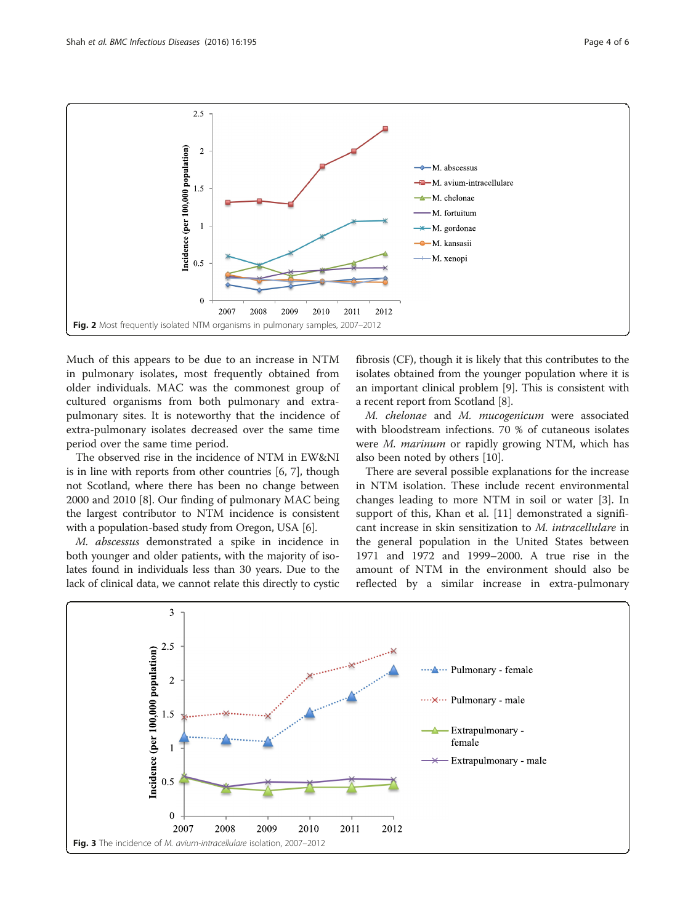<span id="page-3-0"></span>

Much of this appears to be due to an increase in NTM in pulmonary isolates, most frequently obtained from older individuals. MAC was the commonest group of cultured organisms from both pulmonary and extrapulmonary sites. It is noteworthy that the incidence of extra-pulmonary isolates decreased over the same time period over the same time period.

The observed rise in the incidence of NTM in EW&NI is in line with reports from other countries [[6](#page-5-0), [7\]](#page-5-0), though not Scotland, where there has been no change between 2000 and 2010 [\[8](#page-5-0)]. Our finding of pulmonary MAC being the largest contributor to NTM incidence is consistent with a population-based study from Oregon, USA [[6](#page-5-0)].

M. abscessus demonstrated a spike in incidence in both younger and older patients, with the majority of isolates found in individuals less than 30 years. Due to the lack of clinical data, we cannot relate this directly to cystic

fibrosis (CF), though it is likely that this contributes to the isolates obtained from the younger population where it is an important clinical problem [\[9\]](#page-5-0). This is consistent with a recent report from Scotland [\[8](#page-5-0)].

M. chelonae and M. mucogenicum were associated with bloodstream infections. 70 % of cutaneous isolates were *M. marinum* or rapidly growing NTM, which has also been noted by others [\[10\]](#page-5-0).

There are several possible explanations for the increase in NTM isolation. These include recent environmental changes leading to more NTM in soil or water [\[3](#page-5-0)]. In support of this, Khan et al. [[11](#page-5-0)] demonstrated a significant increase in skin sensitization to M. intracellulare in the general population in the United States between 1971 and 1972 and 1999–2000. A true rise in the amount of NTM in the environment should also be reflected by a similar increase in extra-pulmonary

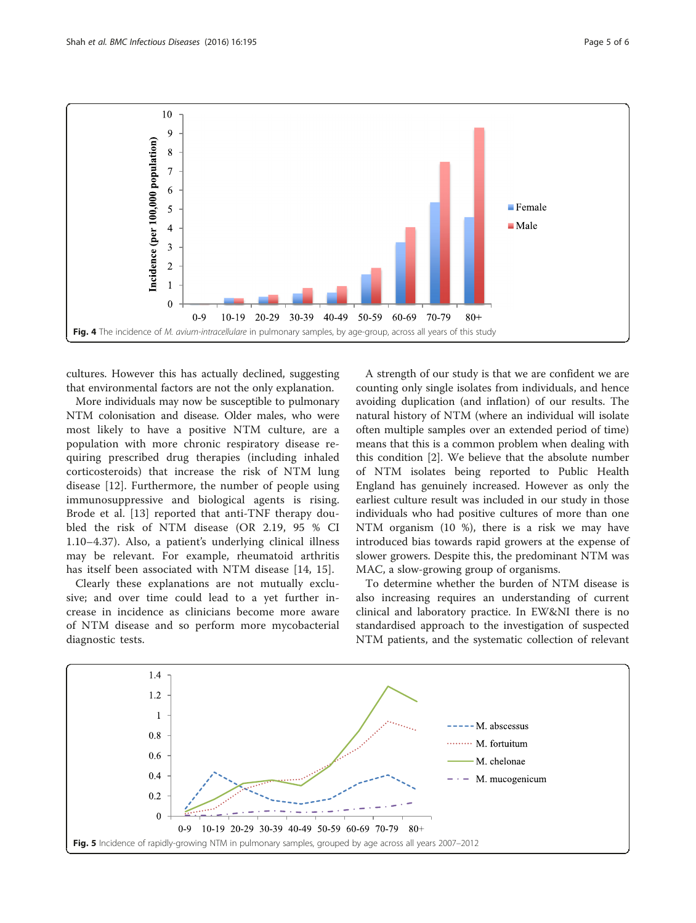<span id="page-4-0"></span>

cultures. However this has actually declined, suggesting that environmental factors are not the only explanation.

More individuals may now be susceptible to pulmonary NTM colonisation and disease. Older males, who were most likely to have a positive NTM culture, are a population with more chronic respiratory disease requiring prescribed drug therapies (including inhaled corticosteroids) that increase the risk of NTM lung disease [[12](#page-5-0)]. Furthermore, the number of people using immunosuppressive and biological agents is rising. Brode et al. [[13\]](#page-5-0) reported that anti-TNF therapy doubled the risk of NTM disease (OR 2.19, 95 % CI 1.10–4.37). Also, a patient's underlying clinical illness may be relevant. For example, rheumatoid arthritis has itself been associated with NTM disease [[14, 15\]](#page-5-0).

Clearly these explanations are not mutually exclusive; and over time could lead to a yet further increase in incidence as clinicians become more aware of NTM disease and so perform more mycobacterial diagnostic tests.

A strength of our study is that we are confident we are counting only single isolates from individuals, and hence avoiding duplication (and inflation) of our results. The natural history of NTM (where an individual will isolate often multiple samples over an extended period of time) means that this is a common problem when dealing with this condition [\[2\]](#page-5-0). We believe that the absolute number of NTM isolates being reported to Public Health England has genuinely increased. However as only the earliest culture result was included in our study in those individuals who had positive cultures of more than one NTM organism (10 %), there is a risk we may have introduced bias towards rapid growers at the expense of slower growers. Despite this, the predominant NTM was MAC, a slow-growing group of organisms.

To determine whether the burden of NTM disease is also increasing requires an understanding of current clinical and laboratory practice. In EW&NI there is no standardised approach to the investigation of suspected NTM patients, and the systematic collection of relevant